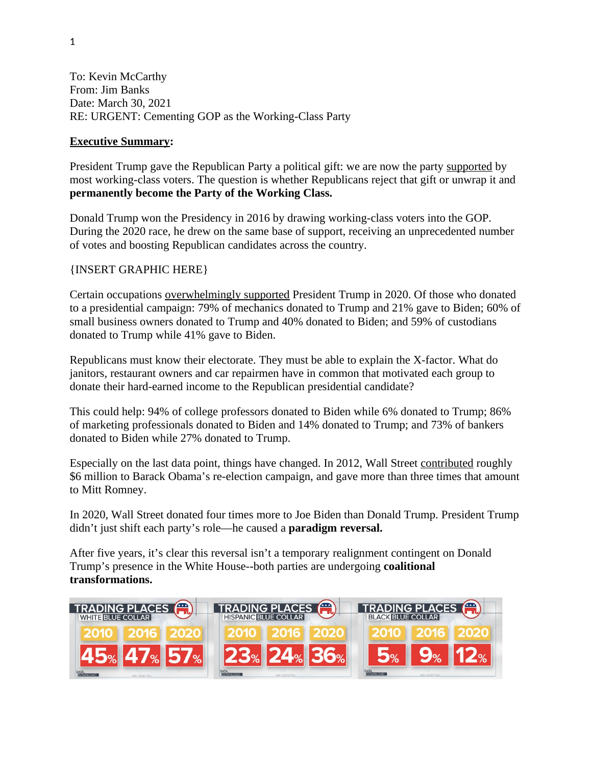To: Kevin McCarthy From: Jim Banks Date: March 30, 2021 RE: URGENT: Cementing GOP as the Working-Class Party

#### **Executive Summary:**

President Trump gave the Republican Party a political gift: we are now the party supported by most working-class voters. The question is whether Republicans reject that gift or unwrap it and **permanently become the Party of the Working Class.**

Donald Trump won the Presidency in 2016 by drawing working-class voters into the GOP. During the 2020 race, he drew on the same base of support, receiving an unprecedented number of votes and boosting Republican candidates across the country.

#### {INSERT GRAPHIC HERE}

Certain occupations [overwhelmingly supported](https://www.bloomberg.com/graphics/2020-election-trump-biden-donors/) President Trump in 2020. Of those who donated to a presidential campaign: 79% of mechanics donated to Trump and 21% gave to Biden; 60% of small business owners donated to Trump and 40% donated to Biden; and 59% of custodians donated to Trump while 41% gave to Biden.

Republicans must know their electorate. They must be able to explain the X-factor. What do janitors, restaurant owners and car repairmen have in common that motivated each group to donate their hard-earned income to the Republican presidential candidate?

This could help: 94% of college professors donated to Biden while 6% donated to Trump; 86% of marketing professionals donated to Biden and 14% donated to Trump; and 73% of bankers donated to Biden while 27% donated to Trump.

Especially on the last data point, things have changed. In 2012, Wall Street contributed roughly \$6 million to Barack Obama's re-election campaign, and gave more than three times that amount to Mitt Romney.

In 2020, Wall Street donated four times more to Joe Biden than Donald Trump. President Trump didn't just shift each party's role—he caused a **paradigm reversal.** 

After five years, it's clear this reversal isn't a temporary realignment contingent on Donald Trump's presence in the White House--both parties are undergoing **coalitional transformations.**

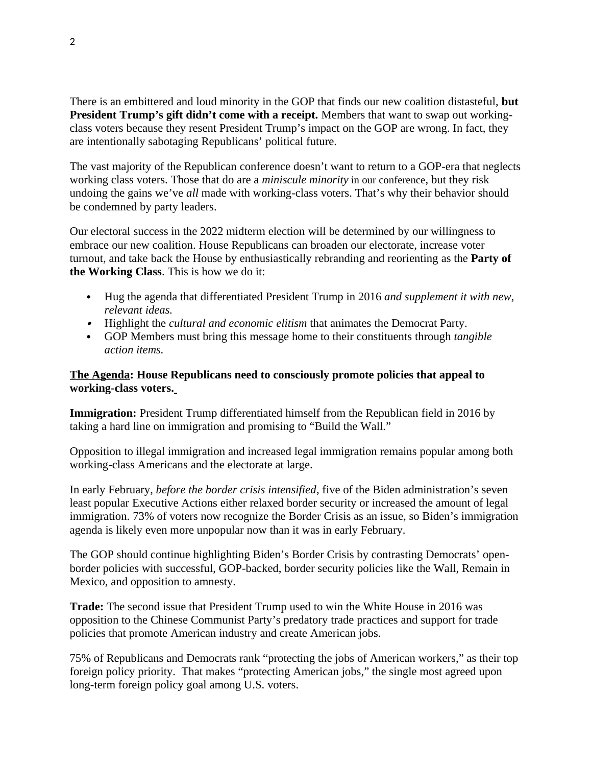There is an embittered and loud minority in the GOP that finds our new coalition distasteful, **but President Trump's gift didn't come with a receipt.** Members that want to swap out workingclass voters because they resent President Trump's impact on the GOP are wrong. In fact, they are intentionally sabotaging Republicans' political future.

The vast majority of the Republican conference doesn't want to return to a GOP-era that neglects working class voters. Those that do are a *miniscule minority* in our conference, but they risk undoing the gains we've *all* made with working-class voters. That's why their behavior should be condemned by party leaders.

Our electoral success in the 2022 midterm election will be determined by our willingness to embrace our new coalition. House Republicans can broaden our electorate, increase voter turnout, and take back the House by enthusiastically rebranding and reorienting as the **Party of the Working Class**. This is how we do it:

- Hug the agenda that differentiated President Trump in 2016 *and supplement it with new, relevant ideas.*
- Highlight the *cultural and economic elitism* that animates the Democrat Party.
- GOP Members must bring this message home to their constituents through *tangible action items.*

### **The Agenda: House Republicans need to consciously promote policies that appeal to working-class voters.**

**Immigration:** President Trump differentiated himself from the Republican field in 2016 by taking a hard line on immigration and promising to "Build the Wall."

Opposition to illegal immigration and increased legal immigration remains popular among both working-class Americans and the electorate at large.

In early February, *before the border crisis intensified*, five of the Biden administration's seven least popular Executive Actions either relaxed border security or increased the amount of legal immigration. 73% of voters now recognize the Border Crisis as an issue, so Biden's immigration agenda is likely even more unpopular now than it was in early February.

The GOP should continue highlighting Biden's Border Crisis by contrasting Democrats' openborder policies with successful, GOP-backed, border security policies like the Wall, Remain in Mexico, and opposition to amnesty.

**Trade:** The second issue that President Trump used to win the White House in 2016 was opposition to the Chinese Communist Party's predatory trade practices and support for trade policies that promote American industry and create American jobs.

75% of Republicans and Democrats rank "protecting the jobs of American workers," as their top foreign policy priority. That makes "protecting American jobs," the single most agreed upon long-term foreign policy goal among U.S. voters.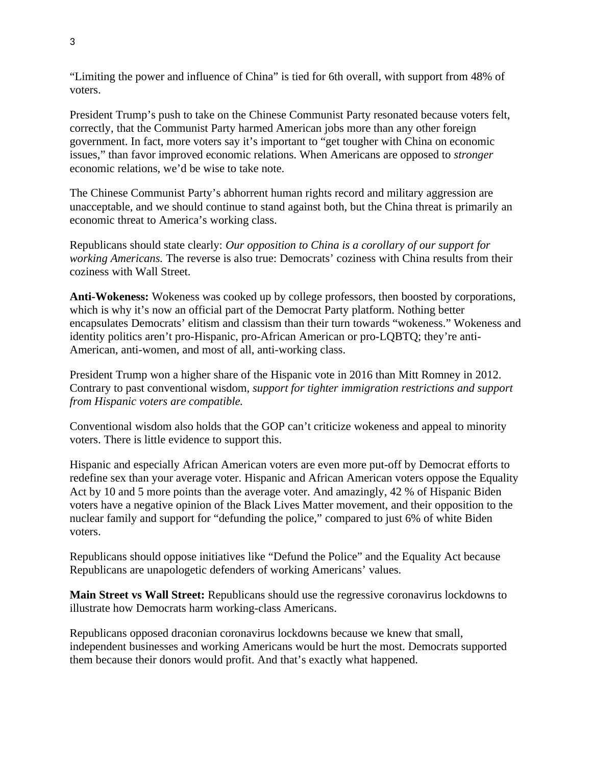"Limiting the power and influence of China" is tied for 6th overall, with support from 48% of voters.

President Trump's push to take on the Chinese Communist Party resonated because voters felt, correctly, that the Communist Party harmed American jobs more than any other foreign government. In fact, more voters say it's important to "get tougher with China on economic issues," than favor improved economic relations. When Americans are opposed to *stronger*  economic relations, we'd be wise to take note.

The Chinese Communist Party's abhorrent human rights record and military aggression are unacceptable, and we should continue to stand against both, but the China threat is primarily an economic threat to America's working class.

Republicans should state clearly: *Our opposition to China is a corollary of our support for working Americans.* The reverse is also true: Democrats' coziness with China results from their coziness with Wall Street.

**Anti-Wokeness:** Wokeness was cooked up by college professors, then boosted by corporations, which is why it's now an official part of the Democrat Party platform. Nothing better encapsulates Democrats' elitism and classism than their turn towards "wokeness." Wokeness and identity politics aren't pro-Hispanic, pro-African American or pro-LQBTQ; they're anti-American, anti-women, and most of all, anti-working class.

President Trump won a higher share of the Hispanic vote in 2016 than Mitt Romney in 2012. Contrary to past conventional wisdom, *support for tighter immigration restrictions and support from Hispanic voters are compatible.* 

Conventional wisdom also holds that the GOP can't criticize wokeness and appeal to minority voters. There is little evidence to support this.

Hispanic and especially African American voters are even more put-off by Democrat efforts to redefine sex than your average voter. Hispanic and African American voters oppose the Equality Act by 10 and 5 more points than the average voter. And amazingly, 42 % of Hispanic Biden voters have a negative opinion of the Black Lives Matter movement, and their opposition to the nuclear family and support for "defunding the police," compared to just 6% of white Biden voters.

Republicans should oppose initiatives like "Defund the Police" and the Equality Act because Republicans are unapologetic defenders of working Americans' values.

**Main Street vs Wall Street:** Republicans should use the regressive coronavirus lockdowns to illustrate how Democrats harm working-class Americans.

Republicans opposed draconian coronavirus lockdowns because we knew that small, independent businesses and working Americans would be hurt the most. Democrats supported them because their donors would profit. And that's exactly what happened.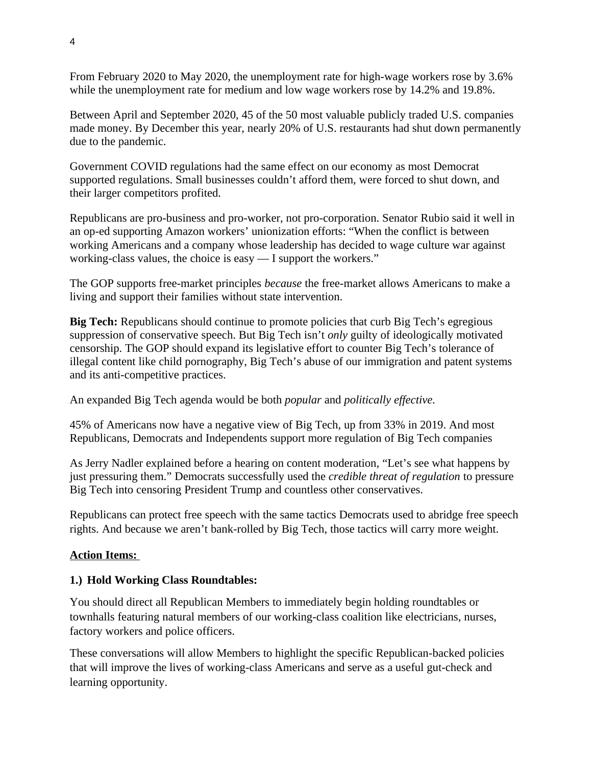From February 2020 to May 2020, the unemployment rate for high-wage workers rose by 3.6% while the unemployment rate for medium and low wage workers rose by 14.2% and 19.8%.

Between April and September 2020, 45 of the 50 most valuable publicly traded U.S. companies made money. By December this year, nearly 20% of U.S. restaurants had shut down permanently due to the pandemic.

Government COVID regulations had the same effect on our economy as most Democrat supported regulations. Small businesses couldn't afford them, were forced to shut down, and their larger competitors profited.

Republicans are pro-business and pro-worker, not pro-corporation. Senator Rubio said it well in an op-ed supporting Amazon workers' unionization efforts: "When the conflict is between working Americans and a company whose leadership has decided to wage culture war against working-class values, the choice is easy — I support the workers."

The GOP supports free-market principles *because* the free-market allows Americans to make a living and support their families without state intervention.

**Big Tech:** Republicans should continue to promote policies that curb Big Tech's egregious suppression of conservative speech. But Big Tech isn't *only* guilty of ideologically motivated censorship. The GOP should expand its legislative effort to counter Big Tech's tolerance of illegal content like child pornography, Big Tech's abuse of our immigration and patent systems and its anti-competitive practices.

An expanded Big Tech agenda would be both *popular* and *politically effective.*

45% of Americans now have a negative view of Big Tech, up from 33% in 2019. And most Republicans, Democrats and Independents support more regulation of Big Tech companies

As Jerry Nadler explained before a hearing on content moderation, "Let's see what happens by just pressuring them." Democrats successfully used the *credible threat of regulation* to pressure Big Tech into censoring President Trump and countless other conservatives.

Republicans can protect free speech with the same tactics Democrats used to abridge free speech rights. And because we aren't bank-rolled by Big Tech, those tactics will carry more weight.

### **Action Items:**

### **1.) Hold Working Class Roundtables:**

You should direct all Republican Members to immediately begin holding roundtables or townhalls featuring natural members of our working-class coalition like electricians, nurses, factory workers and police officers.

These conversations will allow Members to highlight the specific Republican-backed policies that will improve the lives of working-class Americans and serve as a useful gut-check and learning opportunity.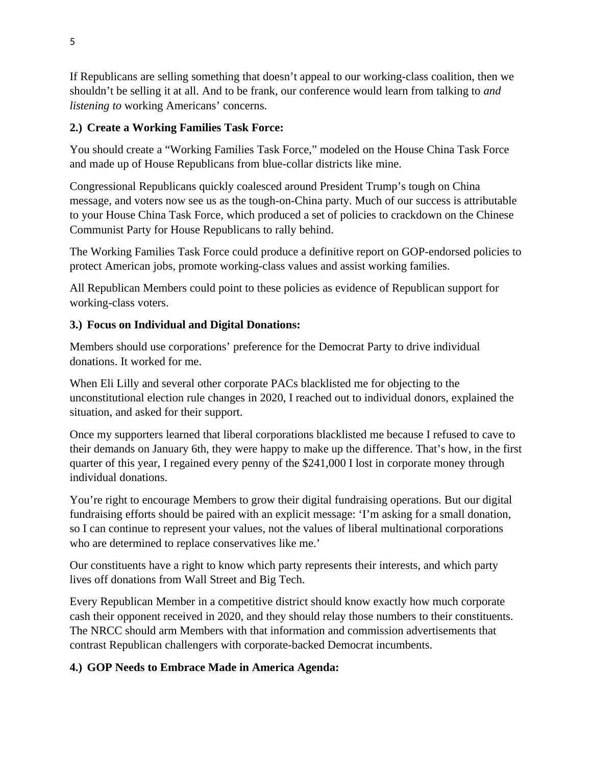If Republicans are selling something that doesn't appeal to our working-class coalition, then we shouldn't be selling it at all. And to be frank, our conference would learn from talking to *and listening to* working Americans' concerns.

# **2.) Create a Working Families Task Force:**

You should create a "Working Families Task Force," modeled on the House China Task Force and made up of House Republicans from blue-collar districts like mine.

Congressional Republicans quickly coalesced around President Trump's tough on China message, and voters now see us as the tough-on-China party. Much of our success is attributable to your House China Task Force, which produced a set of policies to crackdown on the Chinese Communist Party for House Republicans to rally behind.

The Working Families Task Force could produce a definitive report on GOP-endorsed policies to protect American jobs, promote working-class values and assist working families.

All Republican Members could point to these policies as evidence of Republican support for working-class voters.

# **3.) Focus on Individual and Digital Donations:**

Members should use corporations' preference for the Democrat Party to drive individual donations. It worked for me.

When Eli Lilly and several other corporate PACs blacklisted me for objecting to the unconstitutional election rule changes in 2020, I reached out to individual donors, explained the situation, and asked for their support.

Once my supporters learned that liberal corporations blacklisted me because I refused to cave to their demands on January 6th, they were happy to make up the difference. That's how, in the first quarter of this year, I regained every penny of the \$241,000 I lost in corporate money through individual donations.

You're right to encourage Members to grow their digital fundraising operations. But our digital fundraising efforts should be paired with an explicit message: 'I'm asking for a small donation, so I can continue to represent your values, not the values of liberal multinational corporations who are determined to replace conservatives like me.'

Our constituents have a right to know which party represents their interests, and which party lives off donations from Wall Street and Big Tech.

Every Republican Member in a competitive district should know exactly how much corporate cash their opponent received in 2020, and they should relay those numbers to their constituents. The NRCC should arm Members with that information and commission advertisements that contrast Republican challengers with corporate-backed Democrat incumbents.

# **4.) GOP Needs to Embrace Made in America Agenda:**